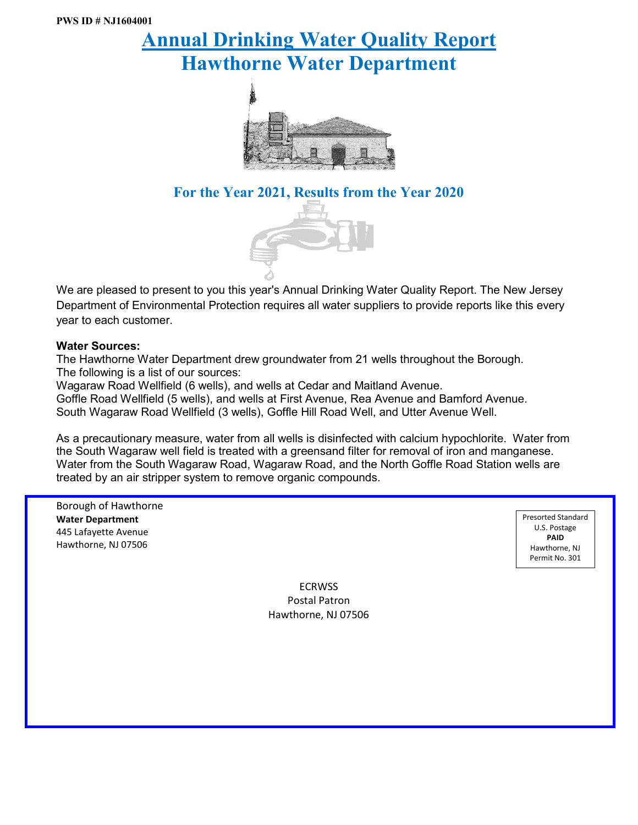# **Annual Drinking Water Quality Report Hawthorne Water Department**



## **For the Year 2021, Results from the Year 2020**



We are pleased to present to you this year's Annual Drinking Water Quality Report. The New Jersey Department of Environmental Protection requires all water suppliers to provide reports like this every year to each customer.

#### **Water Sources:**

The Hawthorne Water Department drew groundwater from 21 wells throughout the Borough. The following is a list of our sources:

Wagaraw Road Wellfield (6 wells), and wells at Cedar and Maitland Avenue.

Goffle Road Wellfield (5 wells), and wells at First Avenue, Rea Avenue and Bamford Avenue. South Wagaraw Road Wellfield (3 wells), Goffle Hill Road Well, and Utter Avenue Well.

As a precautionary measure, water from all wells is disinfected with calcium hypochlorite. Water from the South Wagaraw well field is treated with a greensand filter for removal of iron and manganese. Water from the South Wagaraw Road, Wagaraw Road, and the North Goffle Road Station wells are treated by an air stripper system to remove organic compounds.

Borough of Hawthorne **Water Department** 445 Lafayette Avenue Hawthorne, NJ 07506

Presorted Standard U.S. Postage **PAID** Hawthorne, NJ Permit No. 301

**ECRWSS** Postal Patron Hawthorne, NJ 07506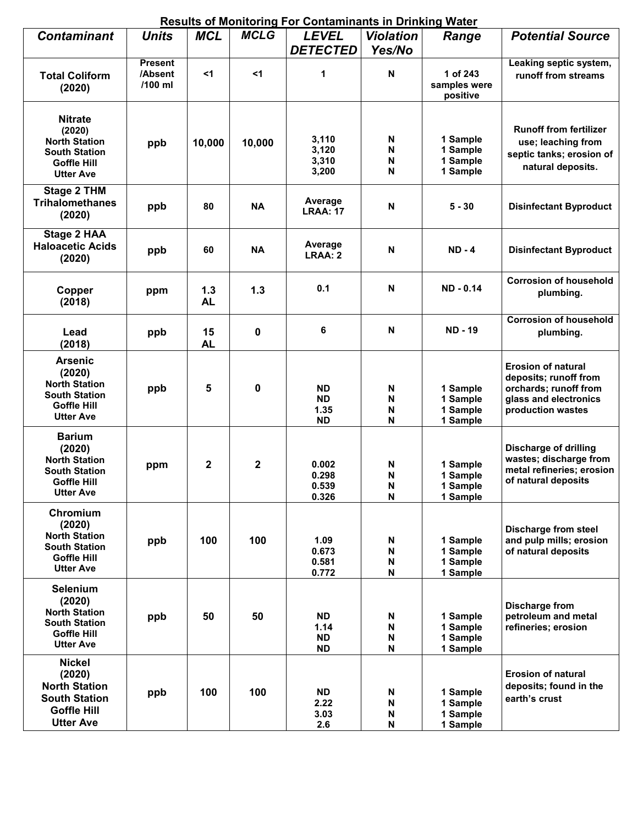|                                                                                                                    |                                      |                  |                                  | <u>Results of Monitoring For Contaminants in Drinking Water</u> |                                              |                                                                                                     |                                                                                                                           |  |  |  |  |
|--------------------------------------------------------------------------------------------------------------------|--------------------------------------|------------------|----------------------------------|-----------------------------------------------------------------|----------------------------------------------|-----------------------------------------------------------------------------------------------------|---------------------------------------------------------------------------------------------------------------------------|--|--|--|--|
| <b>Contaminant</b>                                                                                                 | <b>Units</b>                         | <b>MCL</b>       | <b>MCLG</b>                      | <b>LEVEL</b><br><b>DETECTED</b>                                 | <b>Violation</b><br>Yes/No                   | Range                                                                                               | <b>Potential Source</b>                                                                                                   |  |  |  |  |
| <b>Total Coliform</b><br>(2020)                                                                                    | <b>Present</b><br>/Absent<br>/100 ml | $<$ 1            | $<$ 1                            | 1                                                               | $\mathbf N$                                  | 1 of 243<br>samples were<br>positive                                                                | Leaking septic system,<br>runoff from streams                                                                             |  |  |  |  |
| <b>Nitrate</b><br>(2020)<br><b>North Station</b><br><b>South Station</b><br>Goffle Hill<br><b>Utter Ave</b>        | ppb                                  | 10,000           | 10,000                           | 3,110<br>3,120<br>3,310<br>3,200                                | N<br>N<br>N<br>N                             | 1 Sample<br>1 Sample<br>1 Sample<br>1 Sample                                                        | <b>Runoff from fertilizer</b><br>use; leaching from<br>septic tanks; erosion of<br>natural deposits.                      |  |  |  |  |
| <b>Stage 2 THM</b><br><b>Trihalomethanes</b><br>(2020)                                                             | ppb                                  | 80               | <b>NA</b>                        | Average<br><b>LRAA: 17</b>                                      | N                                            | $5 - 30$                                                                                            | <b>Disinfectant Byproduct</b>                                                                                             |  |  |  |  |
| <b>Stage 2 HAA</b><br><b>Haloacetic Acids</b><br>(2020)                                                            | ppb                                  | 60               | <b>NA</b>                        | Average<br>LRAA: 2                                              | N                                            | $ND - 4$                                                                                            | <b>Disinfectant Byproduct</b>                                                                                             |  |  |  |  |
| Copper<br>(2018)                                                                                                   | ppm                                  | 1.3<br><b>AL</b> | 1.3                              | 0.1                                                             | N                                            | ND - 0.14                                                                                           | <b>Corrosion of household</b><br>plumbing.                                                                                |  |  |  |  |
| Lead<br>(2018)                                                                                                     | ppb                                  | 15<br><b>AL</b>  | 0                                | 6                                                               | $\mathbf N$                                  | <b>ND-19</b>                                                                                        | <b>Corrosion of household</b><br>plumbing.                                                                                |  |  |  |  |
| <b>Arsenic</b><br>(2020)<br><b>North Station</b><br><b>South Station</b><br><b>Goffle Hill</b><br><b>Utter Ave</b> | ppb                                  | 5<br>0           |                                  | <b>ND</b><br><b>ND</b><br>1.35<br><b>ND</b>                     | N<br>N<br>N<br>N                             | 1 Sample<br>1 Sample<br>1 Sample<br>1 Sample                                                        | <b>Erosion of natural</b><br>deposits; runoff from<br>orchards; runoff from<br>glass and electronics<br>production wastes |  |  |  |  |
| <b>Barium</b><br>(2020)<br><b>North Station</b><br><b>South Station</b><br><b>Goffle Hill</b><br><b>Utter Ave</b>  | $\mathbf{2}$<br>$\mathbf{2}$<br>ppm  |                  | 0.002<br>0.298<br>0.539<br>0.326 | N<br>N<br>N<br>N                                                | 1 Sample<br>1 Sample<br>1 Sample<br>1 Sample | Discharge of drilling<br>wastes; discharge from<br>metal refineries; erosion<br>of natural deposits |                                                                                                                           |  |  |  |  |
| Chromium<br>(2020)<br><b>North Station</b><br><b>South Station</b><br><b>Goffle Hill</b><br><b>Utter Ave</b>       | 100<br>ppb<br>(2020)<br>50<br>ppb    |                  | 100                              | 1.09<br>0.673<br>0.581<br>0.772                                 | N<br>N<br>N<br>N                             | 1 Sample<br>1 Sample<br>1 Sample<br>1 Sample                                                        | <b>Discharge from steel</b><br>and pulp mills; erosion<br>of natural deposits                                             |  |  |  |  |
| <b>Selenium</b><br><b>North Station</b><br><b>South Station</b><br><b>Goffle Hill</b><br><b>Utter Ave</b>          |                                      |                  | 50                               | <b>ND</b><br>1.14<br><b>ND</b><br><b>ND</b>                     | N<br>N<br>N<br>N                             | 1 Sample<br>1 Sample<br>1 Sample<br>1 Sample                                                        | Discharge from<br>petroleum and metal<br>refineries; erosion                                                              |  |  |  |  |
| <b>Nickel</b><br>(2020)<br><b>North Station</b><br><b>South Station</b><br><b>Goffle Hill</b><br><b>Utter Ave</b>  | ppb                                  | 100              | 100                              | <b>ND</b><br>2.22<br>3.03<br>2.6                                | N<br>N<br>N<br>${\sf N}$                     | 1 Sample<br>1 Sample<br>1 Sample<br>1 Sample                                                        | <b>Erosion of natural</b><br>deposits; found in the<br>earth's crust                                                      |  |  |  |  |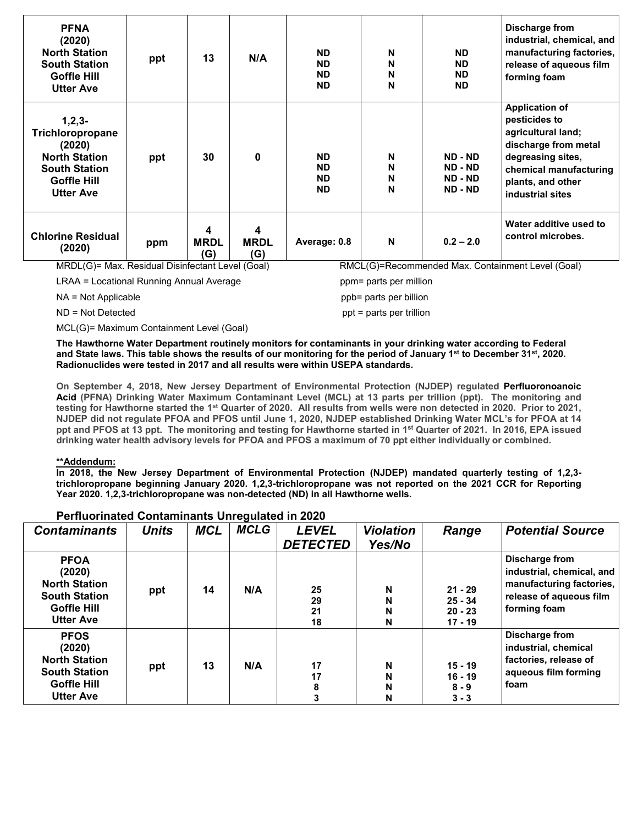| <b>PFNA</b><br>(2020)<br><b>North Station</b><br><b>South Station</b><br><b>Goffle Hill</b><br><b>Utter Ave</b>                  | ppt | 13                      | N/A                                             | <b>ND</b><br><b>ND</b><br><b>ND</b><br><b>ND</b> | N<br>N<br>N<br>N                 | <b>ND</b><br><b>ND</b><br>ND.<br>ND.     | Discharge from<br>industrial, chemical, and<br>manufacturing factories,<br>release of aqueous film<br>forming foam                                                           |
|----------------------------------------------------------------------------------------------------------------------------------|-----|-------------------------|-------------------------------------------------|--------------------------------------------------|----------------------------------|------------------------------------------|------------------------------------------------------------------------------------------------------------------------------------------------------------------------------|
| $1,2,3-$<br>Trichloropropane<br>(2020)<br><b>North Station</b><br><b>South Station</b><br><b>Goffle Hill</b><br><b>Utter Ave</b> | ppt | 30                      | $\mathbf{0}$                                    | <b>ND</b><br><b>ND</b><br><b>ND</b><br><b>ND</b> | Ν<br>N<br>N<br>N                 | ND - ND<br>ND - ND<br>ND - ND<br>ND - ND | <b>Application of</b><br>pesticides to<br>agricultural land;<br>discharge from metal<br>degreasing sites,<br>chemical manufacturing<br>plants, and other<br>industrial sites |
| <b>Chlorine Residual</b><br>(2020)<br>$\mathbf{1}$                                                                               | ppm | 4<br><b>MRDL</b><br>(G) | 4<br><b>MRDL</b><br>(G)<br>$\sim$ $\sim$ $\sim$ | Average: 0.8                                     | $\mathbf N$<br>$\mathbb{R}^{11}$ | $0.2 - 2.0$                              | Water additive used to<br>control microbes.                                                                                                                                  |

LRAA = Locational Running Annual Average ppm = parts per million

MRDL(G)= Max. Residual Disinfectant Level (Goal) RMCL(G)=Recommended Max. Containment Level (Goal)

NA = Not Applicable ppb= parts per billion

ND = Not Detected ppt = parts per trillion

MCL(G)= Maximum Containment Level (Goal)

**The Hawthorne Water Department routinely monitors for contaminants in your drinking water according to Federal and State laws. This table shows the results of our monitoring for the period of January 1st to December 31st, 2020. Radionuclides were tested in 2017 and all results were within USEPA standards.**

**On September 4, 2018, New Jersey Department of Environmental Protection (NJDEP) regulated Perfluoronoanoic Acid (PFNA) Drinking Water Maximum Contaminant Level (MCL) at 13 parts per trillion (ppt). The monitoring and testing for Hawthorne started the 1st Quarter of 2020. All results from wells were non detected in 2020. Prior to 2021, NJDEP did not regulate PFOA and PFOS until June 1, 2020, NJDEP established Drinking Water MCL's for PFOA at 14 ppt and PFOS at 13 ppt. The monitoring and testing for Hawthorne started in 1st Quarter of 2021. In 2016, EPA issued drinking water health advisory levels for PFOA and PFOS a maximum of 70 ppt either individually or combined.**

#### **\*\*Addendum:**

**In 2018, the New Jersey Department of Environmental Protection (NJDEP) mandated quarterly testing of 1,2,3 trichloropropane beginning January 2020. 1,2,3-trichloropropane was not reported on the 2021 CCR for Reporting Year 2020. 1,2,3-trichloropropane was non-detected (ND) in all Hawthorne wells.**

| <b>Contaminants</b>                                                                                             | <b>MCLG</b><br><b>MCL</b><br><b>LEVEL</b><br><b>Units</b><br><b>DETECTED</b> |    | <b>Violation</b><br>Yes/No | Range                | <b>Potential Source</b> |                                                  |                                                                                                                    |
|-----------------------------------------------------------------------------------------------------------------|------------------------------------------------------------------------------|----|----------------------------|----------------------|-------------------------|--------------------------------------------------|--------------------------------------------------------------------------------------------------------------------|
| <b>PFOA</b><br>(2020)<br><b>North Station</b><br><b>South Station</b><br><b>Goffle Hill</b><br><b>Utter Ave</b> | ppt                                                                          | 14 | N/A                        | 25<br>29<br>21<br>18 | N<br>N<br>N<br>N        | $21 - 29$<br>$25 - 34$<br>$20 - 23$<br>$17 - 19$ | Discharge from<br>industrial, chemical, and<br>manufacturing factories,<br>release of aqueous film<br>forming foam |
| <b>PFOS</b><br>(2020)<br><b>North Station</b><br><b>South Station</b><br>Goffle Hill<br><b>Utter Ave</b>        | ppt                                                                          | 13 | N/A                        | 17<br>17             | N<br>N<br>N<br>N        | $15 - 19$<br>$16 - 19$<br>$8 - 9$<br>$3 - 3$     | Discharge from<br>industrial, chemical<br>factories, release of<br>aqueous film forming<br>foam                    |

#### **Perfluorinated Contaminants Unregulated in 2020**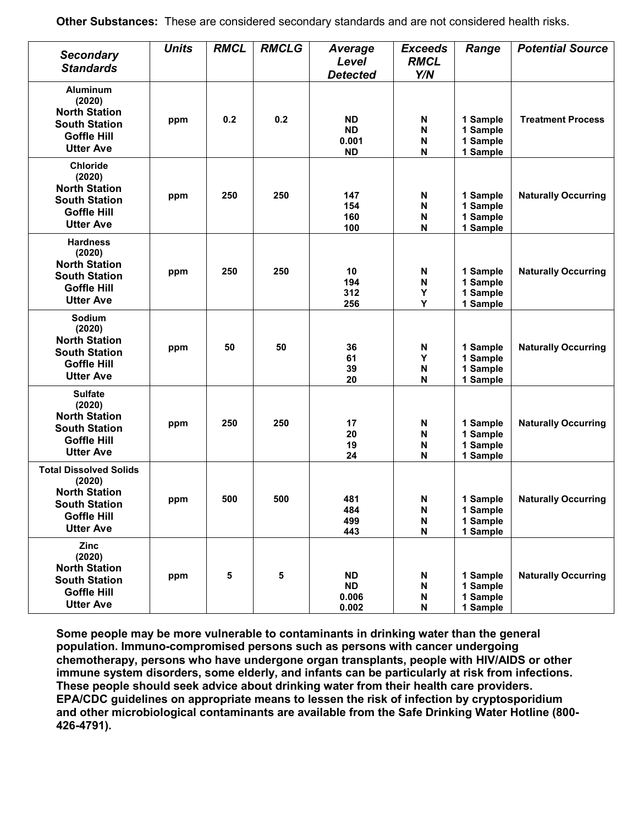| <b>Secondary</b><br><b>Standards</b>                                                                                              | <b>Units</b> | <b>RMCL</b> | <b>RMCLG</b> | <b>Average</b><br>Level<br><b>Detected</b>   | <b>Exceeds</b><br><b>RMCL</b><br>Y/N     | Range                                        | <b>Potential Source</b>    |
|-----------------------------------------------------------------------------------------------------------------------------------|--------------|-------------|--------------|----------------------------------------------|------------------------------------------|----------------------------------------------|----------------------------|
| <b>Aluminum</b><br>(2020)<br><b>North Station</b><br><b>South Station</b><br><b>Goffle Hill</b><br><b>Utter Ave</b>               | ppm          | 0.2         | 0.2          | <b>ND</b><br><b>ND</b><br>0.001<br><b>ND</b> | N<br>N<br>N<br>N                         | 1 Sample<br>1 Sample<br>1 Sample<br>1 Sample | <b>Treatment Process</b>   |
| <b>Chloride</b><br>(2020)<br><b>North Station</b><br><b>South Station</b><br><b>Goffle Hill</b><br><b>Utter Ave</b>               | ppm          | 250         | 250          | 147<br>154<br>160<br>100                     | N<br>N<br>N<br>N                         | 1 Sample<br>1 Sample<br>1 Sample<br>1 Sample | <b>Naturally Occurring</b> |
| <b>Hardness</b><br>(2020)<br><b>North Station</b><br><b>South Station</b><br><b>Goffle Hill</b><br><b>Utter Ave</b>               | ppm          | 250         | 250          | 10<br>194<br>312<br>256                      | N<br>N<br>Y<br>Y                         | 1 Sample<br>1 Sample<br>1 Sample<br>1 Sample | <b>Naturally Occurring</b> |
| Sodium<br>(2020)<br><b>North Station</b><br><b>South Station</b><br><b>Goffle Hill</b><br><b>Utter Ave</b>                        | ppm          | 50          | 50           | 36<br>61<br>39<br>20                         | N<br>Y<br>N<br>N                         | 1 Sample<br>1 Sample<br>1 Sample<br>1 Sample | <b>Naturally Occurring</b> |
| <b>Sulfate</b><br>(2020)<br><b>North Station</b><br><b>South Station</b><br><b>Goffle Hill</b><br><b>Utter Ave</b>                | ppm          | 250         | 250          | 17<br>20<br>19<br>24                         | N<br>N<br>N<br>N                         | 1 Sample<br>1 Sample<br>1 Sample<br>1 Sample | <b>Naturally Occurring</b> |
| <b>Total Dissolved Solids</b><br>(2020)<br><b>North Station</b><br><b>South Station</b><br><b>Goffle Hill</b><br><b>Utter Ave</b> | ppm          | 500         | 500          | 481<br>484<br>499<br>443                     | N<br>N<br>N<br>$\boldsymbol{\mathsf{N}}$ | 1 Sample<br>1 Sample<br>1 Sample<br>1 Sample | <b>Naturally Occurring</b> |
| Zinc<br>(2020)<br><b>North Station</b><br><b>South Station</b><br><b>Goffle Hill</b><br><b>Utter Ave</b>                          | ppm          | 5           | 5            | <b>ND</b><br><b>ND</b><br>0.006<br>0.002     | N<br>$\boldsymbol{\mathsf{N}}$<br>N<br>N | 1 Sample<br>1 Sample<br>1 Sample<br>1 Sample | <b>Naturally Occurring</b> |

**Some people may be more vulnerable to contaminants in drinking water than the general population. Immuno-compromised persons such as persons with cancer undergoing chemotherapy, persons who have undergone organ transplants, people with HIV/AIDS or other immune system disorders, some elderly, and infants can be particularly at risk from infections. These people should seek advice about drinking water from their health care providers. EPA/CDC guidelines on appropriate means to lessen the risk of infection by cryptosporidium and other microbiological contaminants are available from the Safe Drinking Water Hotline (800- 426-4791).**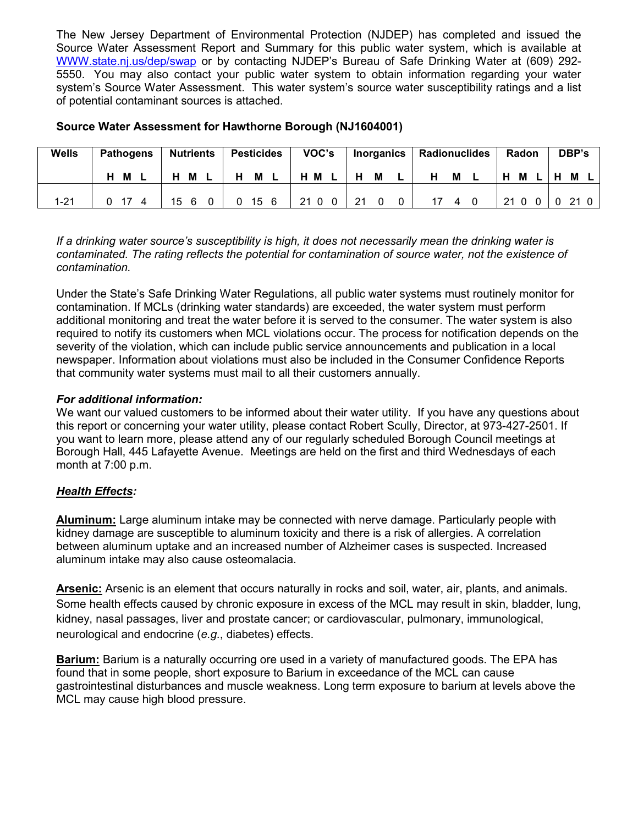The New Jersey Department of Environmental Protection (NJDEP) has completed and issued the Source Water Assessment Report and Summary for this public water system, which is available at WWW.state.nj.us/dep/swap or by contacting NJDEP's Bureau of Safe Drinking Water at (609) 292- 5550. You may also contact your public water system to obtain information regarding your water system's Source Water Assessment. This water system's source water susceptibility ratings and a list of potential contaminant sources is attached.

| Wells    | <b>Pathogens</b> |  |    |   |   |      |    |       |   |   |   |   |   |     |  |    |   |  |  |  |  |  |  |  |  |  | <b>Nutrients</b> |  | <b>Pesticides</b> |  |  | VOC's |  |  | Inorganics | Radionuclides |  |  | Radon |  | DBP's |  |
|----------|------------------|--|----|---|---|------|----|-------|---|---|---|---|---|-----|--|----|---|--|--|--|--|--|--|--|--|--|------------------|--|-------------------|--|--|-------|--|--|------------|---------------|--|--|-------|--|-------|--|
|          | н<br>M           |  | н  | M | н | М    |    | H M L | H | М |   | H | M | H M |  | H. | M |  |  |  |  |  |  |  |  |  |                  |  |                   |  |  |       |  |  |            |               |  |  |       |  |       |  |
| $1 - 21$ |                  |  | 15 |   |   | 15 6 | 21 | 0 O   |   |   | 0 |   | 4 | 210 |  |    |   |  |  |  |  |  |  |  |  |  |                  |  |                   |  |  |       |  |  |            |               |  |  |       |  |       |  |

#### **Source Water Assessment for Hawthorne Borough (NJ1604001)**

*If a drinking water source's susceptibility is high, it does not necessarily mean the drinking water is contaminated. The rating reflects the potential for contamination of source water, not the existence of contamination.*

Under the State's Safe Drinking Water Regulations, all public water systems must routinely monitor for contamination. If MCLs (drinking water standards) are exceeded, the water system must perform additional monitoring and treat the water before it is served to the consumer. The water system is also required to notify its customers when MCL violations occur. The process for notification depends on the severity of the violation, which can include public service announcements and publication in a local newspaper. Information about violations must also be included in the Consumer Confidence Reports that community water systems must mail to all their customers annually.

#### *For additional information:*

We want our valued customers to be informed about their water utility. If you have any questions about this report or concerning your water utility, please contact Robert Scully, Director, at 973-427-2501. If you want to learn more, please attend any of our regularly scheduled Borough Council meetings at Borough Hall, 445 Lafayette Avenue. Meetings are held on the first and third Wednesdays of each month at 7:00 p.m.

#### *Health Effects:*

**Aluminum:** Large aluminum intake may be connected with nerve damage. Particularly people with kidney damage are susceptible to aluminum toxicity and there is a risk of allergies. A correlation between aluminum uptake and an increased number of Alzheimer cases is suspected. Increased aluminum intake may also cause osteomalacia.

**Arsenic:** Arsenic is an element that occurs naturally in rocks and soil, water, air, plants, and animals. Some health effects caused by chronic exposure in excess of the MCL may result in skin, bladder, lung, kidney, nasal passages, liver and prostate cancer; or cardiovascular, pulmonary, immunological, neurological and endocrine (*e.g.*, diabetes) effects.

**Barium:** Barium is a naturally occurring ore used in a variety of manufactured goods. The EPA has found that in some people, short exposure to Barium in exceedance of the MCL can cause gastrointestinal disturbances and muscle weakness. Long term exposure to barium at levels above the MCL may cause high blood pressure.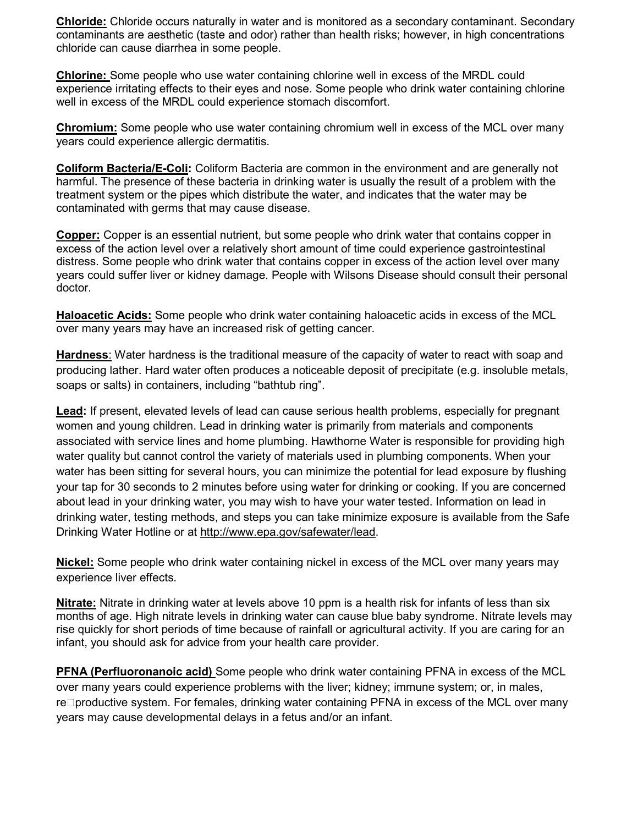**Chloride:** Chloride occurs naturally in water and is monitored as a secondary contaminant. Secondary contaminants are aesthetic (taste and odor) rather than health risks; however, in high concentrations chloride can cause diarrhea in some people.

**Chlorine:** Some people who use water containing chlorine well in excess of the MRDL could experience irritating effects to their eyes and nose. Some people who drink water containing chlorine well in excess of the MRDL could experience stomach discomfort.

**Chromium:** Some people who use water containing chromium well in excess of the MCL over many years could experience allergic dermatitis.

**Coliform Bacteria/E-Coli:** Coliform Bacteria are common in the environment and are generally not harmful. The presence of these bacteria in drinking water is usually the result of a problem with the treatment system or the pipes which distribute the water, and indicates that the water may be contaminated with germs that may cause disease.

**Copper:** Copper is an essential nutrient, but some people who drink water that contains copper in excess of the action level over a relatively short amount of time could experience gastrointestinal distress. Some people who drink water that contains copper in excess of the action level over many years could suffer liver or kidney damage. People with Wilsons Disease should consult their personal doctor.

**Haloacetic Acids:** Some people who drink water containing haloacetic acids in excess of the MCL over many years may have an increased risk of getting cancer.

**Hardness**: Water hardness is the traditional measure of the capacity of water to react with soap and producing lather. Hard water often produces a noticeable deposit of precipitate (e.g. insoluble metals, soaps or salts) in containers, including "bathtub ring".

**Lead:** If present, elevated levels of lead can cause serious health problems, especially for pregnant women and young children. Lead in drinking water is primarily from materials and components associated with service lines and home plumbing. Hawthorne Water is responsible for providing high water quality but cannot control the variety of materials used in plumbing components. When your water has been sitting for several hours, you can minimize the potential for lead exposure by flushing your tap for 30 seconds to 2 minutes before using water for drinking or cooking. If you are concerned about lead in your drinking water, you may wish to have your water tested. Information on lead in drinking water, testing methods, and steps you can take minimize exposure is available from the Safe Drinking Water Hotline or at [http://www.epa.gov/safewater/lead.](http://www.epa.gov/safewater/lead)

**Nickel:** Some people who drink water containing nickel in excess of the MCL over many years may experience liver effects.

**Nitrate:** Nitrate in drinking water at levels above 10 ppm is a health risk for infants of less than six months of age. High nitrate levels in drinking water can cause blue baby syndrome. Nitrate levels may rise quickly for short periods of time because of rainfall or agricultural activity. If you are caring for an infant, you should ask for advice from your health care provider.

**PFNA (Perfluoronanoic acid)** Some people who drink water containing PFNA in excess of the MCL over many years could experience problems with the liver; kidney; immune system; or, in males, re⊡productive system. For females, drinking water containing PFNA in excess of the MCL over many years may cause developmental delays in a fetus and/or an infant.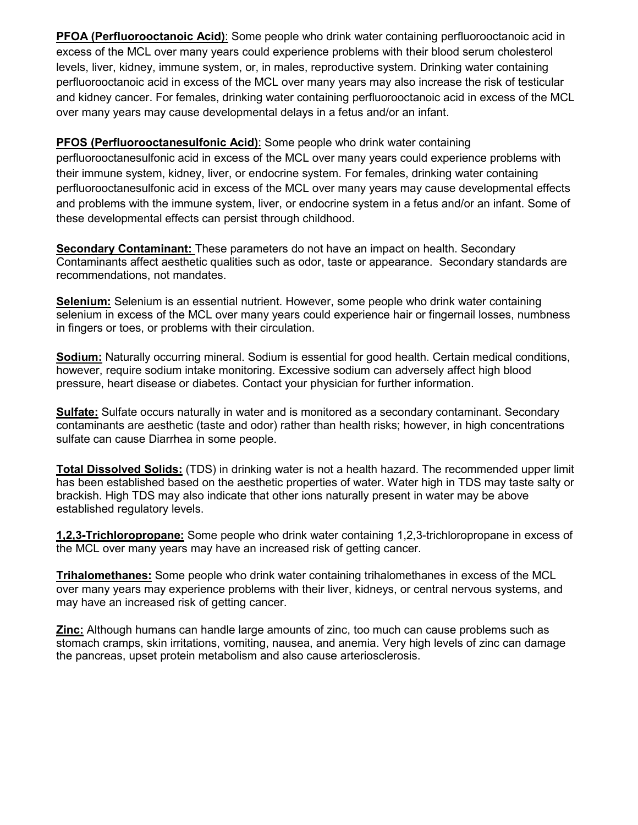**PFOA (Perfluorooctanoic Acid)**: Some people who drink water containing perfluorooctanoic acid in excess of the MCL over many years could experience problems with their blood serum cholesterol levels, liver, kidney, immune system, or, in males, reproductive system. Drinking water containing perfluorooctanoic acid in excess of the MCL over many years may also increase the risk of testicular and kidney cancer. For females, drinking water containing perfluorooctanoic acid in excess of the MCL over many years may cause developmental delays in a fetus and/or an infant.

### **PFOS (Perfluorooctanesulfonic Acid)**: Some people who drink water containing

perfluorooctanesulfonic acid in excess of the MCL over many years could experience problems with their immune system, kidney, liver, or endocrine system. For females, drinking water containing perfluorooctanesulfonic acid in excess of the MCL over many years may cause developmental effects and problems with the immune system, liver, or endocrine system in a fetus and/or an infant. Some of these developmental effects can persist through childhood.

**Secondary Contaminant:** These parameters do not have an impact on health. Secondary Contaminants affect aesthetic qualities such as odor, taste or appearance. Secondary standards are recommendations, not mandates.

**Selenium:** Selenium is an essential nutrient. However, some people who drink water containing selenium in excess of the MCL over many years could experience hair or fingernail losses, numbness in fingers or toes, or problems with their circulation.

**Sodium:** Naturally occurring mineral. Sodium is essential for good health. Certain medical conditions, however, require sodium intake monitoring. Excessive sodium can adversely affect high blood pressure, heart disease or diabetes. Contact your physician for further information.

**Sulfate:** Sulfate occurs naturally in water and is monitored as a secondary contaminant. Secondary contaminants are aesthetic (taste and odor) rather than health risks; however, in high concentrations sulfate can cause Diarrhea in some people.

**Total Dissolved Solids:** (TDS) in drinking water is not a health hazard. The recommended upper limit has been established based on the aesthetic properties of water. Water high in TDS may taste salty or brackish. High TDS may also indicate that other ions naturally present in water may be above established regulatory levels.

**1,2,3-Trichloropropane:** Some people who drink water containing 1,2,3-trichloropropane in excess of the MCL over many years may have an increased risk of getting cancer.

**Trihalomethanes:** Some people who drink water containing trihalomethanes in excess of the MCL over many years may experience problems with their liver, kidneys, or central nervous systems, and may have an increased risk of getting cancer.

**Zinc:** Although humans can handle large amounts of zinc, too much can cause problems such as stomach cramps, skin irritations, vomiting, nausea, and anemia. Very high levels of zinc can damage the pancreas, upset protein metabolism and also cause arteriosclerosis.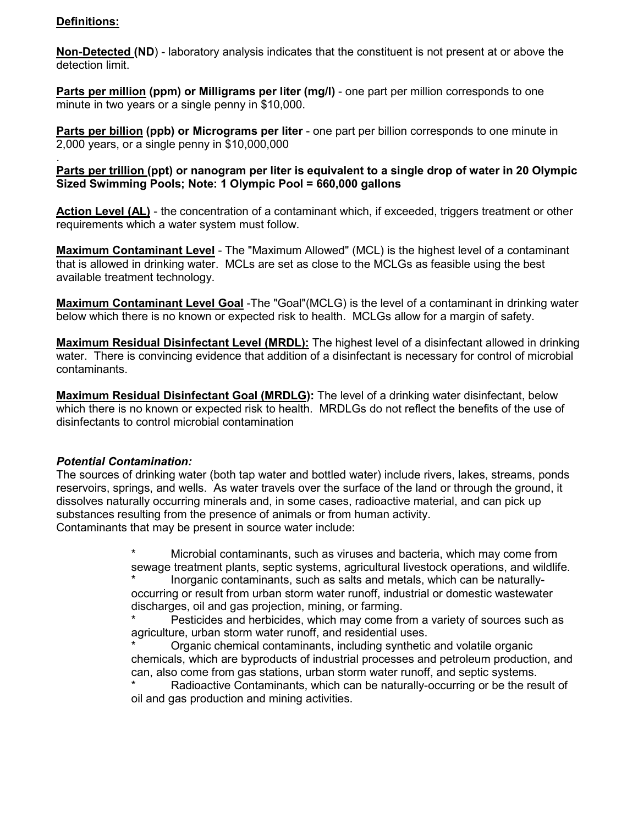#### **Definitions:**

**Non-Detected (ND**) - laboratory analysis indicates that the constituent is not present at or above the detection limit.

**Parts per million (ppm) or Milligrams per liter (mg/l)** - one part per million corresponds to one minute in two years or a single penny in \$10,000.

**Parts per billion (ppb) or Micrograms per liter** - one part per billion corresponds to one minute in 2,000 years, or a single penny in \$10,000,000

. **Parts per trillion (ppt) or nanogram per liter is equivalent to a single drop of water in 20 Olympic Sized Swimming Pools; Note: 1 Olympic Pool = 660,000 gallons**

**Action Level (AL)** - the concentration of a contaminant which, if exceeded, triggers treatment or other requirements which a water system must follow.

**Maximum Contaminant Level** - The "Maximum Allowed" (MCL) is the highest level of a contaminant that is allowed in drinking water. MCLs are set as close to the MCLGs as feasible using the best available treatment technology.

**Maximum Contaminant Level Goal** -The "Goal"(MCLG) is the level of a contaminant in drinking water below which there is no known or expected risk to health. MCLGs allow for a margin of safety.

**Maximum Residual Disinfectant Level (MRDL):** The highest level of a disinfectant allowed in drinking water. There is convincing evidence that addition of a disinfectant is necessary for control of microbial contaminants.

**Maximum Residual Disinfectant Goal (MRDLG):** The level of a drinking water disinfectant, below which there is no known or expected risk to health. MRDLGs do not reflect the benefits of the use of disinfectants to control microbial contamination

#### *Potential Contamination:*

The sources of drinking water (both tap water and bottled water) include rivers, lakes, streams, ponds reservoirs, springs, and wells. As water travels over the surface of the land or through the ground, it dissolves naturally occurring minerals and, in some cases, radioactive material, and can pick up substances resulting from the presence of animals or from human activity. Contaminants that may be present in source water include:

> \* Microbial contaminants, such as viruses and bacteria, which may come from sewage treatment plants, septic systems, agricultural livestock operations, and wildlife.

Inorganic contaminants, such as salts and metals, which can be naturallyoccurring or result from urban storm water runoff, industrial or domestic wastewater discharges, oil and gas projection, mining, or farming.

Pesticides and herbicides, which may come from a variety of sources such as agriculture, urban storm water runoff, and residential uses.

Organic chemical contaminants, including synthetic and volatile organic chemicals, which are byproducts of industrial processes and petroleum production, and can, also come from gas stations, urban storm water runoff, and septic systems.

Radioactive Contaminants, which can be naturally-occurring or be the result of oil and gas production and mining activities.